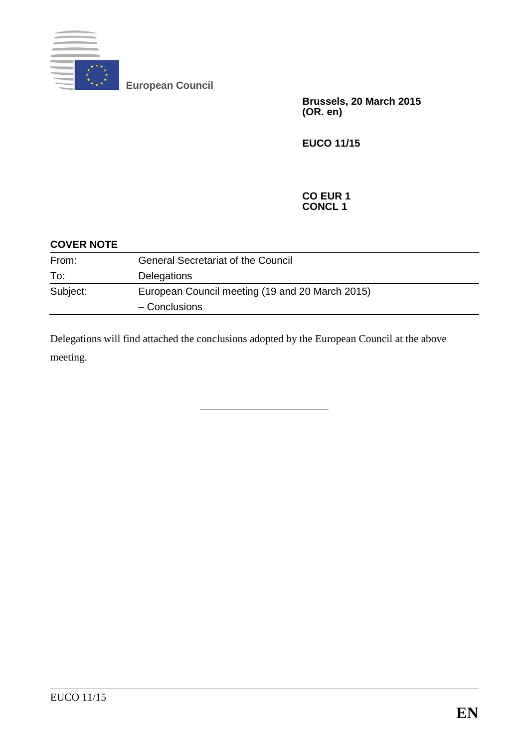

**European Council**

**Brussels, 20 March 2015 (OR. en)**

**EUCO 11/15**

#### **CO EUR 1 CONCL 1**

| <b>COVER NOTE</b> |                                                 |
|-------------------|-------------------------------------------------|
| From:             | <b>General Secretariat of the Council</b>       |
| To:               | Delegations                                     |
| Subject:          | European Council meeting (19 and 20 March 2015) |
|                   | - Conclusions                                   |

<span id="page-0-0"></span>Delegations will find attached the conclusions adopted by the European Council at the above meeting.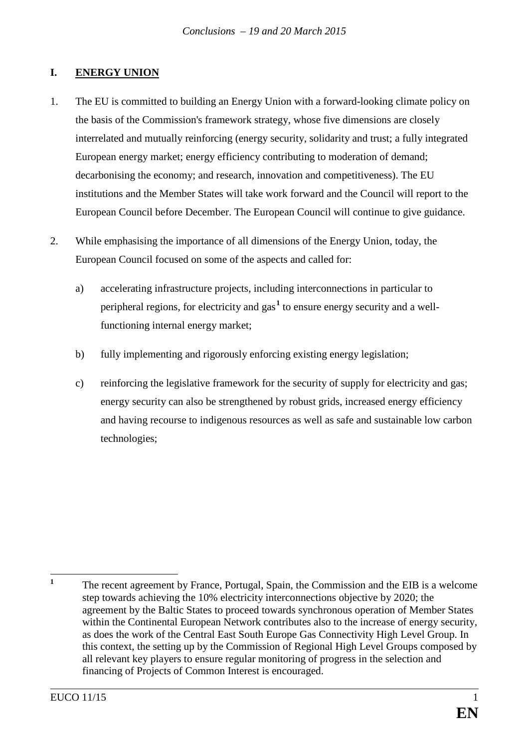# **I. ENERGY UNION**

- 1. The EU is committed to building an Energy Union with a forward-looking climate policy on the basis of the Commission's framework strategy, whose five dimensions are closely interrelated and mutually reinforcing (energy security, solidarity and trust; a fully integrated European energy market; energy efficiency contributing to moderation of demand; decarbonising the economy; and research, innovation and competitiveness). The EU institutions and the Member States will take work forward and the Council will report to the European Council before December. The European Council will continue to give guidance.
- 2. While emphasising the importance of all dimensions of the Energy Union, today, the European Council focused on some of the aspects and called for:
	- a) accelerating infrastructure projects, including interconnections in particular to peripheral regions, for electricity and gas**[1](#page-0-0)** to ensure energy security and a wellfunctioning internal energy market;
	- b) fully implementing and rigorously enforcing existing energy legislation;
	- c) reinforcing the legislative framework for the security of supply for electricity and gas; energy security can also be strengthened by robust grids, increased energy efficiency and having recourse to indigenous resources as well as safe and sustainable low carbon technologies;

<sup>1</sup> The recent agreement by France, Portugal, Spain, the Commission and the EIB is a welcome step towards achieving the 10% electricity interconnections objective by 2020; the agreement by the Baltic States to proceed towards synchronous operation of Member States within the Continental European Network contributes also to the increase of energy security, as does the work of the Central East South Europe Gas Connectivity High Level Group. In this context, the setting up by the Commission of Regional High Level Groups composed by all relevant key players to ensure regular monitoring of progress in the selection and financing of Projects of Common Interest is encouraged.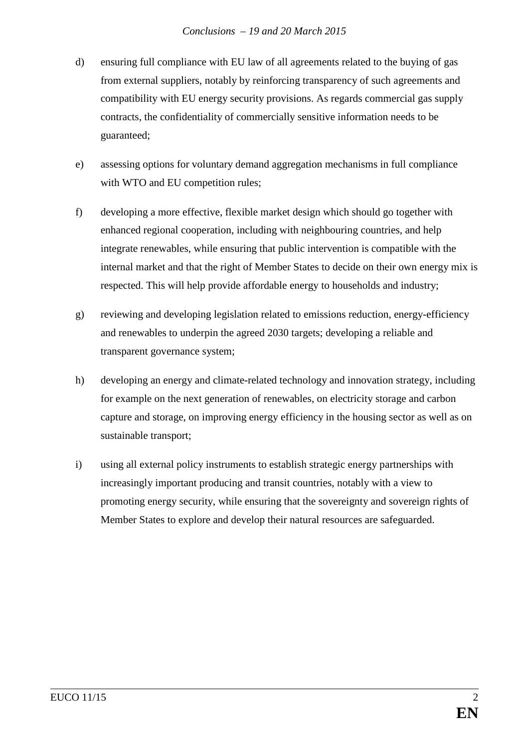- d) ensuring full compliance with EU law of all agreements related to the buying of gas from external suppliers, notably by reinforcing transparency of such agreements and compatibility with EU energy security provisions. As regards commercial gas supply contracts, the confidentiality of commercially sensitive information needs to be guaranteed;
- e) assessing options for voluntary demand aggregation mechanisms in full compliance with WTO and EU competition rules;
- f) developing a more effective, flexible market design which should go together with enhanced regional cooperation, including with neighbouring countries, and help integrate renewables, while ensuring that public intervention is compatible with the internal market and that the right of Member States to decide on their own energy mix is respected. This will help provide affordable energy to households and industry;
- g) reviewing and developing legislation related to emissions reduction, energy-efficiency and renewables to underpin the agreed 2030 targets; developing a reliable and transparent governance system;
- h) developing an energy and climate-related technology and innovation strategy, including for example on the next generation of renewables, on electricity storage and carbon capture and storage, on improving energy efficiency in the housing sector as well as on sustainable transport;
- i) using all external policy instruments to establish strategic energy partnerships with increasingly important producing and transit countries, notably with a view to promoting energy security, while ensuring that the sovereignty and sovereign rights of Member States to explore and develop their natural resources are safeguarded.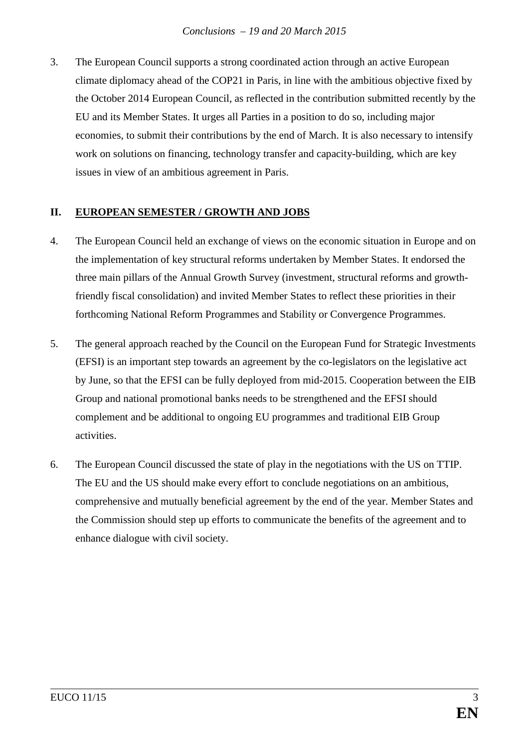3. The European Council supports a strong coordinated action through an active European climate diplomacy ahead of the COP21 in Paris, in line with the ambitious objective fixed by the October 2014 European Council, as reflected in the contribution submitted recently by the EU and its Member States. It urges all Parties in a position to do so, including major economies, to submit their contributions by the end of March. It is also necessary to intensify work on solutions on financing, technology transfer and capacity-building, which are key issues in view of an ambitious agreement in Paris.

## **II. EUROPEAN SEMESTER / GROWTH AND JOBS**

- 4. The European Council held an exchange of views on the economic situation in Europe and on the implementation of key structural reforms undertaken by Member States. It endorsed the three main pillars of the Annual Growth Survey (investment, structural reforms and growthfriendly fiscal consolidation) and invited Member States to reflect these priorities in their forthcoming National Reform Programmes and Stability or Convergence Programmes.
- 5. The general approach reached by the Council on the European Fund for Strategic Investments (EFSI) is an important step towards an agreement by the co-legislators on the legislative act by June, so that the EFSI can be fully deployed from mid-2015. Cooperation between the EIB Group and national promotional banks needs to be strengthened and the EFSI should complement and be additional to ongoing EU programmes and traditional EIB Group activities.
- 6. The European Council discussed the state of play in the negotiations with the US on TTIP. The EU and the US should make every effort to conclude negotiations on an ambitious, comprehensive and mutually beneficial agreement by the end of the year. Member States and the Commission should step up efforts to communicate the benefits of the agreement and to enhance dialogue with civil society.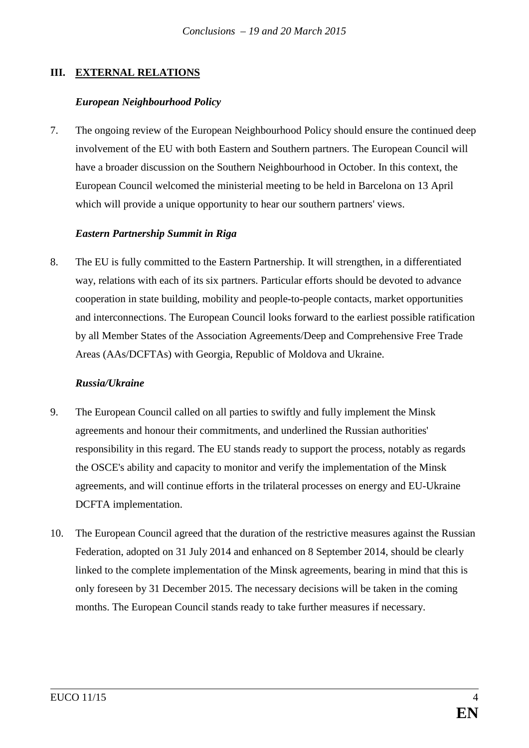## **III. EXTERNAL RELATIONS**

### *European Neighbourhood Policy*

7. The ongoing review of the European Neighbourhood Policy should ensure the continued deep involvement of the EU with both Eastern and Southern partners. The European Council will have a broader discussion on the Southern Neighbourhood in October. In this context, the European Council welcomed the ministerial meeting to be held in Barcelona on 13 April which will provide a unique opportunity to hear our southern partners' views.

### *Eastern Partnership Summit in Riga*

8. The EU is fully committed to the Eastern Partnership. It will strengthen, in a differentiated way, relations with each of its six partners. Particular efforts should be devoted to advance cooperation in state building, mobility and people-to-people contacts, market opportunities and interconnections. The European Council looks forward to the earliest possible ratification by all Member States of the Association Agreements/Deep and Comprehensive Free Trade Areas (AAs/DCFTAs) with Georgia, Republic of Moldova and Ukraine.

#### *Russia/Ukraine*

- 9. The European Council called on all parties to swiftly and fully implement the Minsk agreements and honour their commitments, and underlined the Russian authorities' responsibility in this regard. The EU stands ready to support the process, notably as regards the OSCE's ability and capacity to monitor and verify the implementation of the Minsk agreements, and will continue efforts in the trilateral processes on energy and EU-Ukraine DCFTA implementation.
- 10. The European Council agreed that the duration of the restrictive measures against the Russian Federation, adopted on 31 July 2014 and enhanced on 8 September 2014, should be clearly linked to the complete implementation of the Minsk agreements, bearing in mind that this is only foreseen by 31 December 2015. The necessary decisions will be taken in the coming months. The European Council stands ready to take further measures if necessary.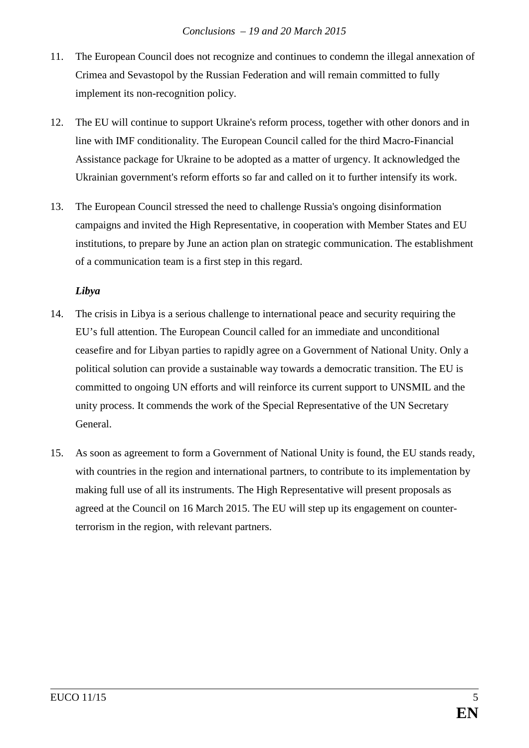- 11. The European Council does not recognize and continues to condemn the illegal annexation of Crimea and Sevastopol by the Russian Federation and will remain committed to fully implement its non-recognition policy.
- 12. The EU will continue to support Ukraine's reform process, together with other donors and in line with IMF conditionality. The European Council called for the third Macro-Financial Assistance package for Ukraine to be adopted as a matter of urgency. It acknowledged the Ukrainian government's reform efforts so far and called on it to further intensify its work.
- 13. The European Council stressed the need to challenge Russia's ongoing disinformation campaigns and invited the High Representative, in cooperation with Member States and EU institutions, to prepare by June an action plan on strategic communication. The establishment of a communication team is a first step in this regard.

## *Libya*

- 14. The crisis in Libya is a serious challenge to international peace and security requiring the EU's full attention. The European Council called for an immediate and unconditional ceasefire and for Libyan parties to rapidly agree on a Government of National Unity. Only a political solution can provide a sustainable way towards a democratic transition. The EU is committed to ongoing UN efforts and will reinforce its current support to UNSMIL and the unity process. It commends the work of the Special Representative of the UN Secretary General.
- 15. As soon as agreement to form a Government of National Unity is found, the EU stands ready, with countries in the region and international partners, to contribute to its implementation by making full use of all its instruments. The High Representative will present proposals as agreed at the Council on 16 March 2015. The EU will step up its engagement on counterterrorism in the region, with relevant partners.